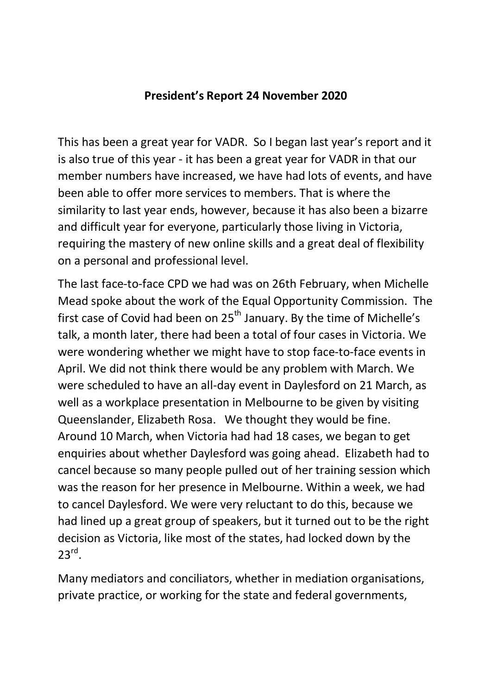## **President's Report 24 November 2020**

This has been a great year for VADR. So I began last year's report and it is also true of this year - it has been a great year for VADR in that our member numbers have increased, we have had lots of events, and have been able to offer more services to members. That is where the similarity to last year ends, however, because it has also been a bizarre and difficult year for everyone, particularly those living in Victoria, requiring the mastery of new online skills and a great deal of flexibility on a personal and professional level.

The last face-to-face CPD we had was on 26th February, when Michelle Mead spoke about the work of the Equal Opportunity Commission. The first case of Covid had been on  $25<sup>th</sup>$  January. By the time of Michelle's talk, a month later, there had been a total of four cases in Victoria. We were wondering whether we might have to stop face-to-face events in April. We did not think there would be any problem with March. We were scheduled to have an all-day event in Daylesford on 21 March, as well as a workplace presentation in Melbourne to be given by visiting Queenslander, Elizabeth Rosa. We thought they would be fine. Around 10 March, when Victoria had had 18 cases, we began to get enquiries about whether Daylesford was going ahead. Elizabeth had to cancel because so many people pulled out of her training session which was the reason for her presence in Melbourne. Within a week, we had to cancel Daylesford. We were very reluctant to do this, because we had lined up a great group of speakers, but it turned out to be the right decision as Victoria, like most of the states, had locked down by the  $23^{\text{rd}}$ .

Many mediators and conciliators, whether in mediation organisations, private practice, or working for the state and federal governments,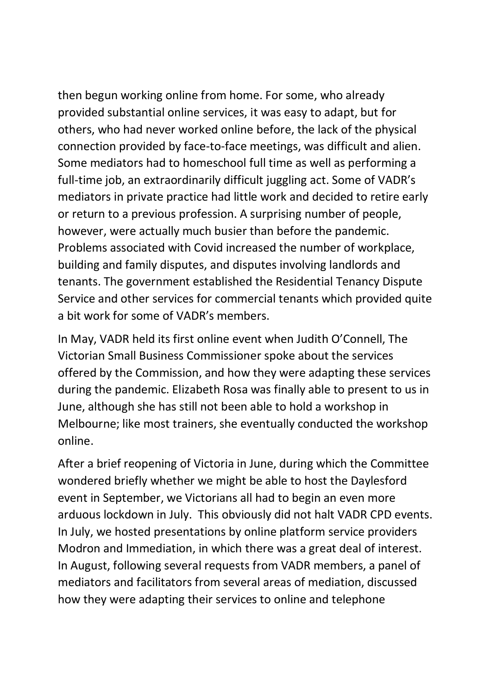then begun working online from home. For some, who already provided substantial online services, it was easy to adapt, but for others, who had never worked online before, the lack of the physical connection provided by face-to-face meetings, was difficult and alien. Some mediators had to homeschool full time as well as performing a full-time job, an extraordinarily difficult juggling act. Some of VADR's mediators in private practice had little work and decided to retire early or return to a previous profession. A surprising number of people, however, were actually much busier than before the pandemic. Problems associated with Covid increased the number of workplace, building and family disputes, and disputes involving landlords and tenants. The government established the Residential Tenancy Dispute Service and other services for commercial tenants which provided quite a bit work for some of VADR's members.

In May, VADR held its first online event when Judith O'Connell, The Victorian Small Business Commissioner spoke about the services offered by the Commission, and how they were adapting these services during the pandemic. Elizabeth Rosa was finally able to present to us in June, although she has still not been able to hold a workshop in Melbourne; like most trainers, she eventually conducted the workshop online.

After a brief reopening of Victoria in June, during which the Committee wondered briefly whether we might be able to host the Daylesford event in September, we Victorians all had to begin an even more arduous lockdown in July. This obviously did not halt VADR CPD events. In July, we hosted presentations by online platform service providers Modron and Immediation, in which there was a great deal of interest. In August, following several requests from VADR members, a panel of mediators and facilitators from several areas of mediation, discussed how they were adapting their services to online and telephone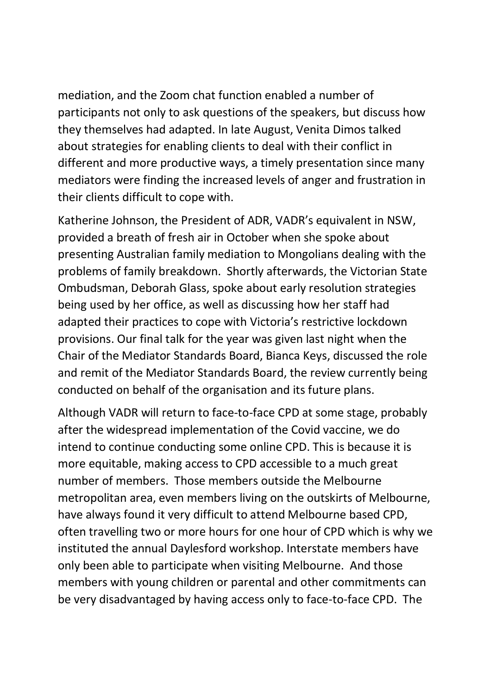mediation, and the Zoom chat function enabled a number of participants not only to ask questions of the speakers, but discuss how they themselves had adapted. In late August, Venita Dimos talked about strategies for enabling clients to deal with their conflict in different and more productive ways, a timely presentation since many mediators were finding the increased levels of anger and frustration in their clients difficult to cope with.

Katherine Johnson, the President of ADR, VADR's equivalent in NSW, provided a breath of fresh air in October when she spoke about presenting Australian family mediation to Mongolians dealing with the problems of family breakdown. Shortly afterwards, the Victorian State Ombudsman, Deborah Glass, spoke about early resolution strategies being used by her office, as well as discussing how her staff had adapted their practices to cope with Victoria's restrictive lockdown provisions. Our final talk for the year was given last night when the Chair of the Mediator Standards Board, Bianca Keys, discussed the role and remit of the Mediator Standards Board, the review currently being conducted on behalf of the organisation and its future plans.

Although VADR will return to face-to-face CPD at some stage, probably after the widespread implementation of the Covid vaccine, we do intend to continue conducting some online CPD. This is because it is more equitable, making access to CPD accessible to a much great number of members. Those members outside the Melbourne metropolitan area, even members living on the outskirts of Melbourne, have always found it very difficult to attend Melbourne based CPD, often travelling two or more hours for one hour of CPD which is why we instituted the annual Daylesford workshop. Interstate members have only been able to participate when visiting Melbourne. And those members with young children or parental and other commitments can be very disadvantaged by having access only to face-to-face CPD. The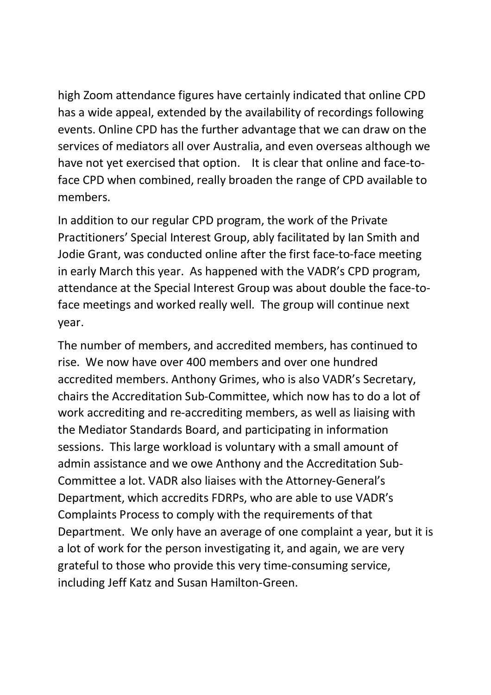high Zoom attendance figures have certainly indicated that online CPD has a wide appeal, extended by the availability of recordings following events. Online CPD has the further advantage that we can draw on the services of mediators all over Australia, and even overseas although we have not yet exercised that option. It is clear that online and face-toface CPD when combined, really broaden the range of CPD available to members.

In addition to our regular CPD program, the work of the Private Practitioners' Special Interest Group, ably facilitated by Ian Smith and Jodie Grant, was conducted online after the first face-to-face meeting in early March this year. As happened with the VADR's CPD program, attendance at the Special Interest Group was about double the face-toface meetings and worked really well. The group will continue next year.

The number of members, and accredited members, has continued to rise. We now have over 400 members and over one hundred accredited members. Anthony Grimes, who is also VADR's Secretary, chairs the Accreditation Sub-Committee, which now has to do a lot of work accrediting and re-accrediting members, as well as liaising with the Mediator Standards Board, and participating in information sessions. This large workload is voluntary with a small amount of admin assistance and we owe Anthony and the Accreditation Sub-Committee a lot. VADR also liaises with the Attorney-General's Department, which accredits FDRPs, who are able to use VADR's Complaints Process to comply with the requirements of that Department. We only have an average of one complaint a year, but it is a lot of work for the person investigating it, and again, we are very grateful to those who provide this very time-consuming service, including Jeff Katz and Susan Hamilton-Green.